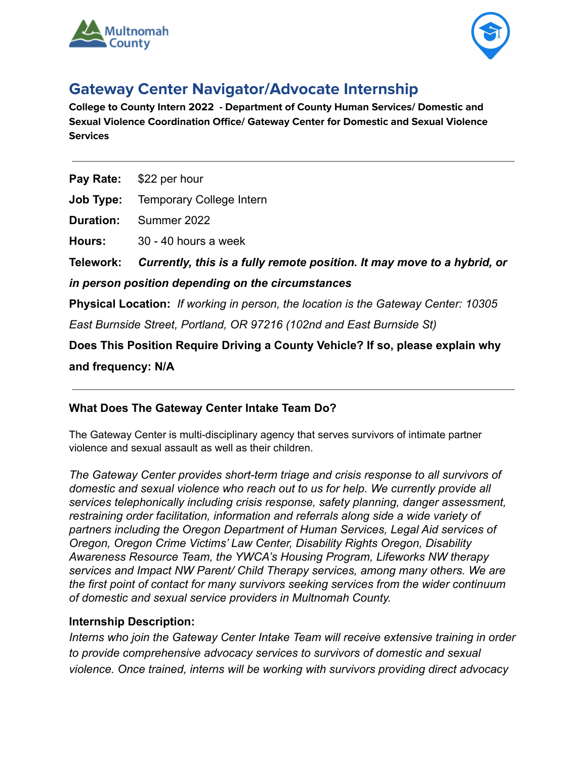



# **Gateway Center Navigator/Advocate Internship**

**College to County Intern 2022 - Department of County Human Services/ Domestic and Sexual Violence Coordination Office/ Gateway Center for Domestic and Sexual Violence Services**

**Pay Rate:** \$22 per hour

**Job Type:** Temporary College Intern

**Duration:** Summer 2022

**Hours:** 30 - 40 hours a week

**Telework:** *Currently, this is a fully remote position. It may move to a hybrid, or*

*in person position depending on the circumstances*

**Physical Location:** *If working in person, the location is the Gateway Center: 10305*

*East Burnside Street, Portland, OR 97216 (102nd and East Burnside St)*

**Does This Position Require Driving a County Vehicle? If so, please explain why and frequency: N/A**

## **What Does The Gateway Center Intake Team Do?**

The Gateway Center is multi-disciplinary agency that serves survivors of intimate partner violence and sexual assault as well as their children.

*The Gateway Center provides short-term triage and crisis response to all survivors of domestic and sexual violence who reach out to us for help. We currently provide all services telephonically including crisis response, safety planning, danger assessment, restraining order facilitation, information and referrals along side a wide variety of partners including the Oregon Department of Human Services, Legal Aid services of Oregon, Oregon Crime Victims' Law Center, Disability Rights Oregon, Disability Awareness Resource Team, the YWCA's Housing Program, Lifeworks NW therapy services and Impact NW Parent/ Child Therapy services, among many others. We are the first point of contact for many survivors seeking services from the wider continuum of domestic and sexual service providers in Multnomah County.*

## **Internship Description:**

*Interns who join the Gateway Center Intake Team will receive extensive training in order to provide comprehensive advocacy services to survivors of domestic and sexual violence. Once trained, interns will be working with survivors providing direct advocacy*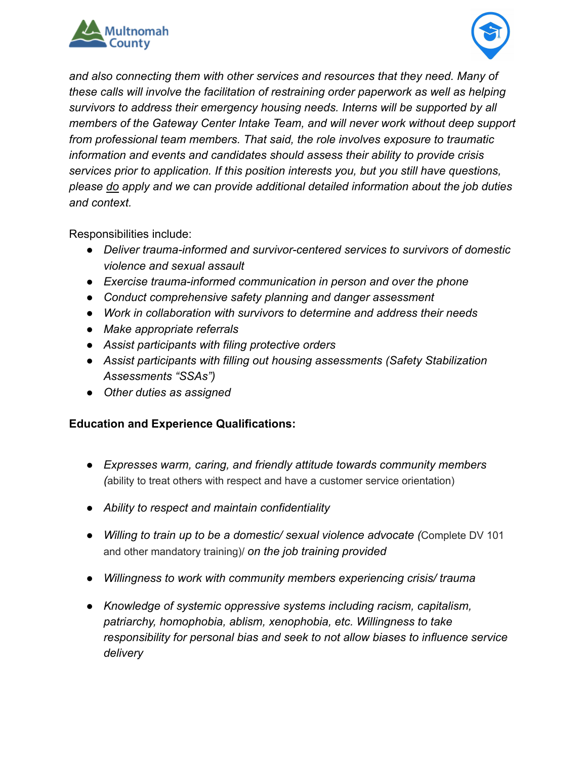



*and also connecting them with other services and resources that they need. Many of these calls will involve the facilitation of restraining order paperwork as well as helping survivors to address their emergency housing needs. Interns will be supported by all members of the Gateway Center Intake Team, and will never work without deep support from professional team members. That said, the role involves exposure to traumatic information and events and candidates should assess their ability to provide crisis services prior to application. If this position interests you, but you still have questions, please do apply and we can provide additional detailed information about the job duties and context.*

Responsibilities include:

- *● Deliver trauma-informed and survivor-centered services to survivors of domestic violence and sexual assault*
- *● Exercise trauma-informed communication in person and over the phone*
- *● Conduct comprehensive safety planning and danger assessment*
- *● Work in collaboration with survivors to determine and address their needs*
- *● Make appropriate referrals*
- *● Assist participants with filing protective orders*
- *● Assist participants with filling out housing assessments (Safety Stabilization Assessments "SSAs")*
- *● Other duties as assigned*

## **Education and Experience Qualifications:**

- *Expresses warm, caring, and friendly attitude towards community members (*ability to treat others with respect and have a customer service orientation)
- *● Ability to respect and maintain confidentiality*
- *● Willing to train up to be a domestic/ sexual violence advocate (*Complete DV 101 and other mandatory training)/ *on the job training provided*
- *● Willingness to work with community members experiencing crisis/ trauma*
- *● Knowledge of systemic oppressive systems including racism, capitalism, patriarchy, homophobia, ablism, xenophobia, etc. Willingness to take responsibility for personal bias and seek to not allow biases to influence service delivery*